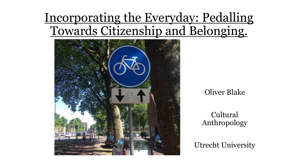### Incorporating the Everyday: Pedalling Towards Citizenship and Belonging.



#### Oliver Blake

Cultural Anthropology

Utrecht University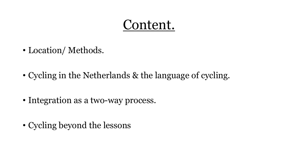### Content.

- Location/ Methods.
- Cycling in the Netherlands & the language of cycling.
- Integration as a two-way process.
- Cycling beyond the lessons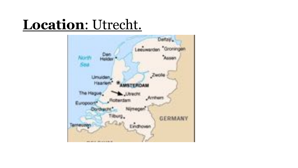# **Location**: Utrecht.

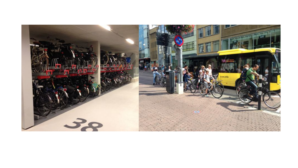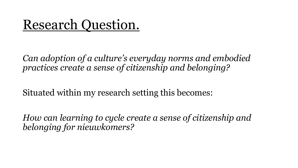# Research Question.

*Can adoption of a culture's everyday norms and embodied practices create a sense of citizenship and belonging?*

Situated within my research setting this becomes:

*How can learning to cycle create a sense of citizenship and belonging for nieuwkomers?*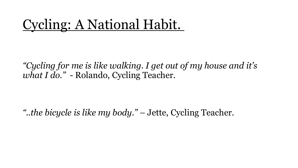# Cycling: A National Habit.

*"Cycling for me is like walking. I get out of my house and it's what I do." -* Rolando, Cycling Teacher*.* 

*"..the bicycle is like my body." –* Jette, Cycling Teacher*.*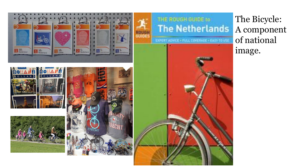

### THE ROUGH GUIDE to **The Netherlands**

The Bicycle: A component of national image.



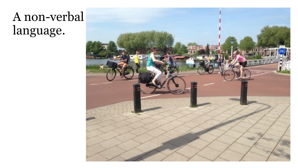### A non-verbal language.

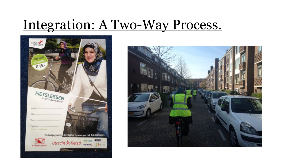### Integration: A Two-Way Process.



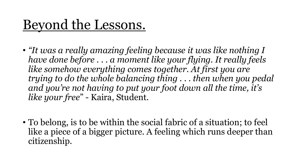# Beyond the Lessons.

- *"It was a really amazing feeling because it was like nothing I have done before . . . a moment like your flying. It really feels like somehow everything comes together. At first you are trying to do the whole balancing thing . . . then when you pedal and you're not having to put your foot down all the time, it's like your free*" - Kaira, Student.
- To belong, is to be within the social fabric of a situation; to feel like a piece of a bigger picture. A feeling which runs deeper than citizenship.